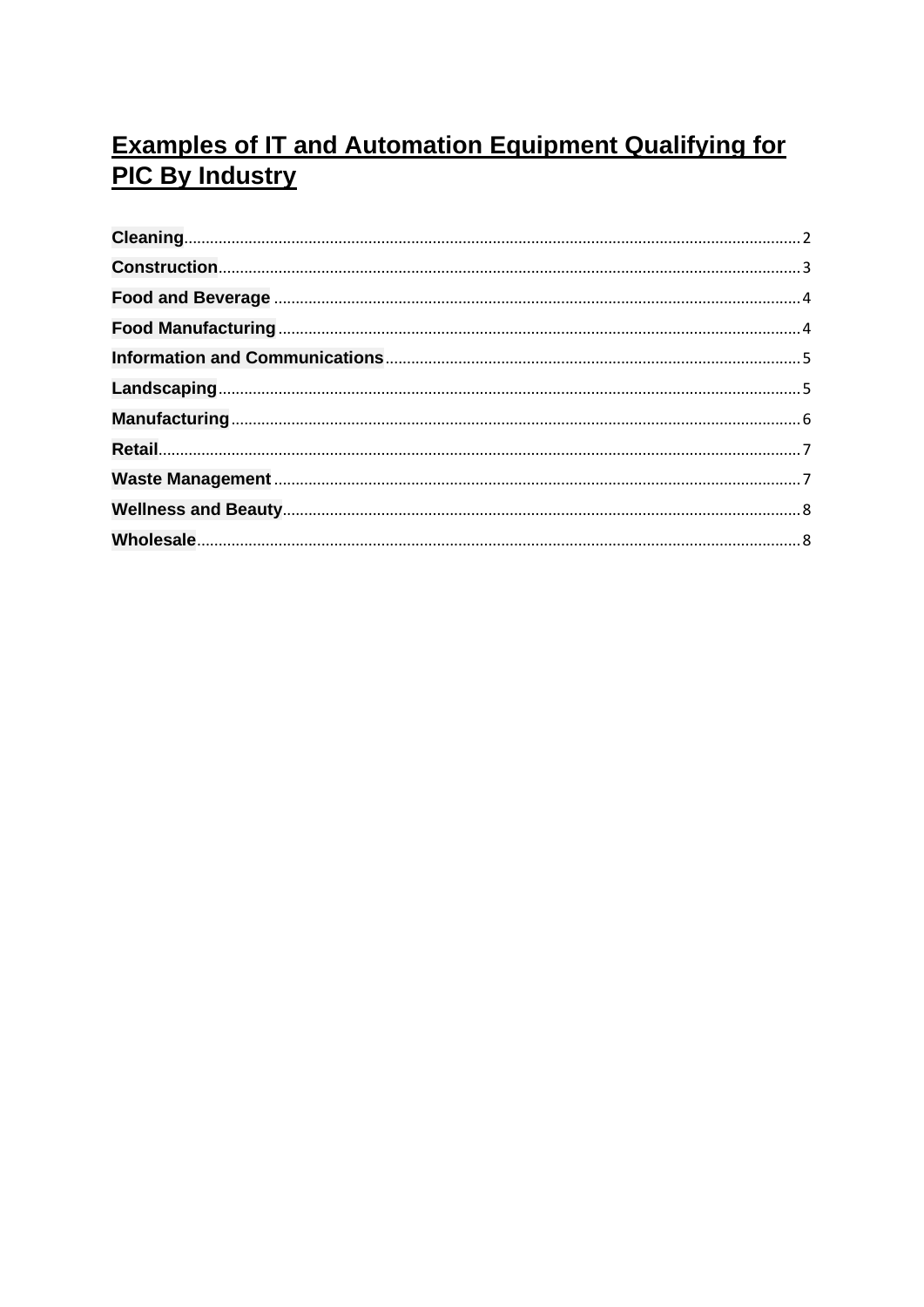## **Examples of IT and Automation Equipment Qualifying for PIC By Industry**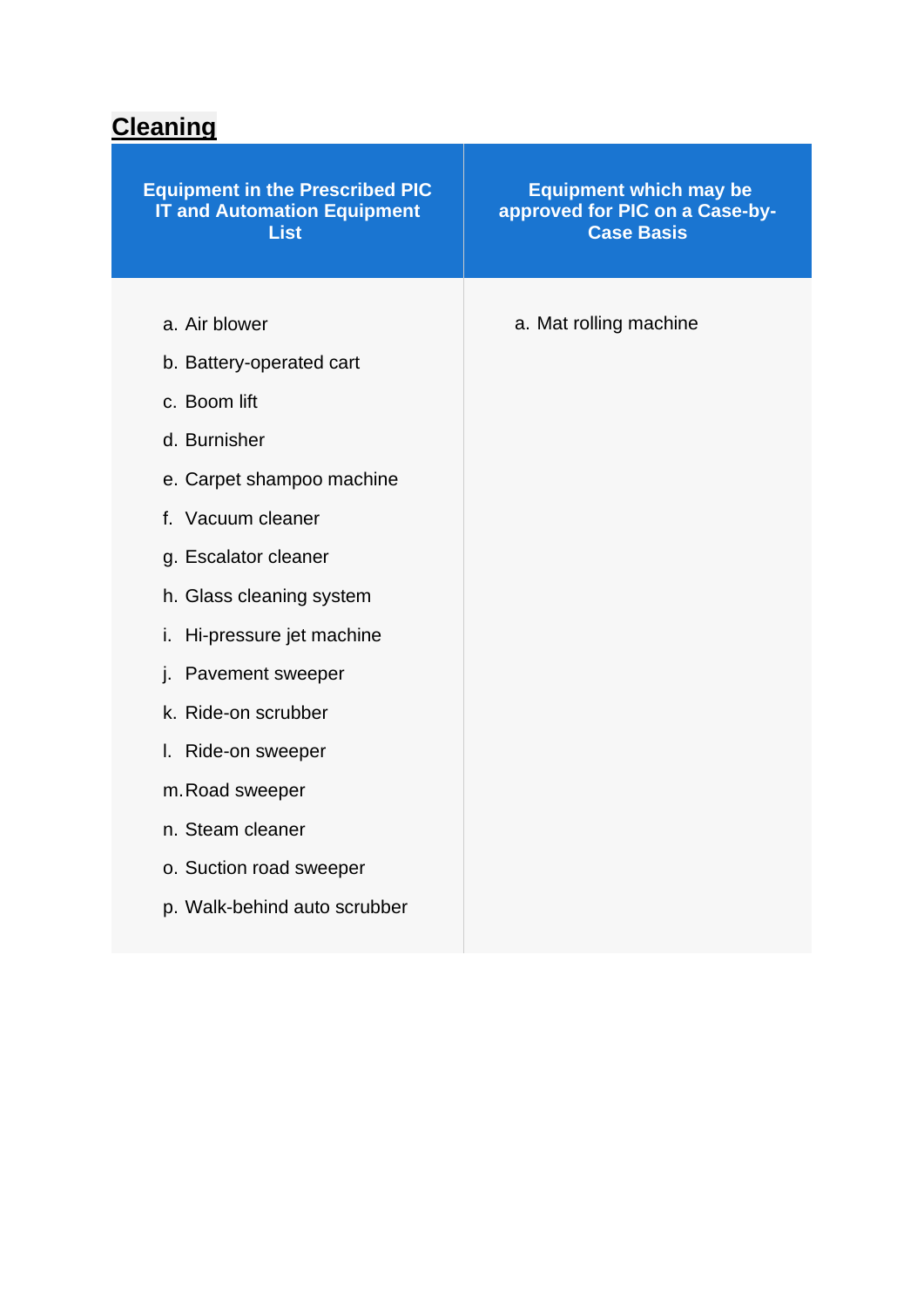### <span id="page-1-0"></span>**Cleaning**

| a. Mat rolling machine<br>a. Air blower<br>b. Battery-operated cart<br>c. Boom lift<br>d. Burnisher<br>e. Carpet shampoo machine<br>f. Vacuum cleaner<br>g. Escalator cleaner<br>h. Glass cleaning system<br>i. Hi-pressure jet machine<br>j. Pavement sweeper<br>k. Ride-on scrubber<br>Ride-on sweeper<br>I.<br>m. Road sweeper<br>n. Steam cleaner<br>o. Suction road sweeper | <b>Equipment in the Prescribed PIC</b><br><b>IT and Automation Equipment</b><br><b>List</b> | <b>Equipment which may be</b><br>approved for PIC on a Case-by-<br><b>Case Basis</b> |
|----------------------------------------------------------------------------------------------------------------------------------------------------------------------------------------------------------------------------------------------------------------------------------------------------------------------------------------------------------------------------------|---------------------------------------------------------------------------------------------|--------------------------------------------------------------------------------------|
|                                                                                                                                                                                                                                                                                                                                                                                  | p. Walk-behind auto scrubber                                                                |                                                                                      |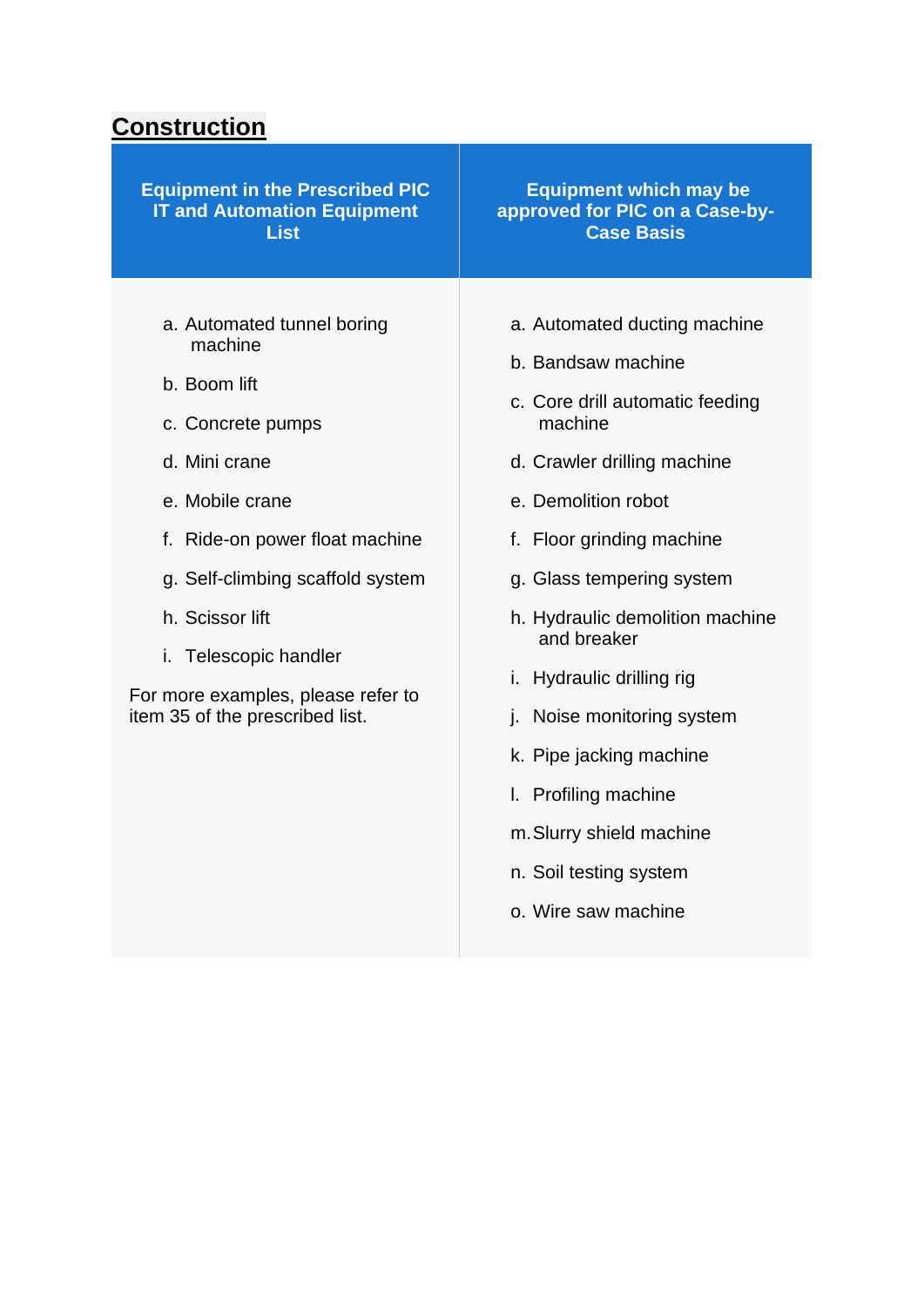### <span id="page-2-0"></span>**Construction**

| <b>Equipment in the Prescribed PIC</b>                                                                                                                                                                                                                                                                    | <b>Equipment which may be</b>                                                                                                                                                                                                                                                                                                                                                                                                                                 |
|-----------------------------------------------------------------------------------------------------------------------------------------------------------------------------------------------------------------------------------------------------------------------------------------------------------|---------------------------------------------------------------------------------------------------------------------------------------------------------------------------------------------------------------------------------------------------------------------------------------------------------------------------------------------------------------------------------------------------------------------------------------------------------------|
| <b>IT and Automation Equipment</b>                                                                                                                                                                                                                                                                        | approved for PIC on a Case-by-                                                                                                                                                                                                                                                                                                                                                                                                                                |
| <b>List</b>                                                                                                                                                                                                                                                                                               | <b>Case Basis</b>                                                                                                                                                                                                                                                                                                                                                                                                                                             |
| a. Automated tunnel boring<br>machine<br>b. Boom lift<br>c. Concrete pumps<br>d. Mini crane<br>e. Mobile crane<br>f. Ride-on power float machine<br>g. Self-climbing scaffold system<br>h. Scissor lift<br>i. Telescopic handler<br>For more examples, please refer to<br>item 35 of the prescribed list. | a. Automated ducting machine<br>b. Bandsaw machine<br>c. Core drill automatic feeding<br>machine<br>d. Crawler drilling machine<br>e. Demolition robot<br>f. Floor grinding machine<br>g. Glass tempering system<br>h. Hydraulic demolition machine<br>and breaker<br>i. Hydraulic drilling rig<br>j. Noise monitoring system<br>k. Pipe jacking machine<br>I. Profiling machine<br>m. Slurry shield machine<br>n. Soil testing system<br>o. Wire saw machine |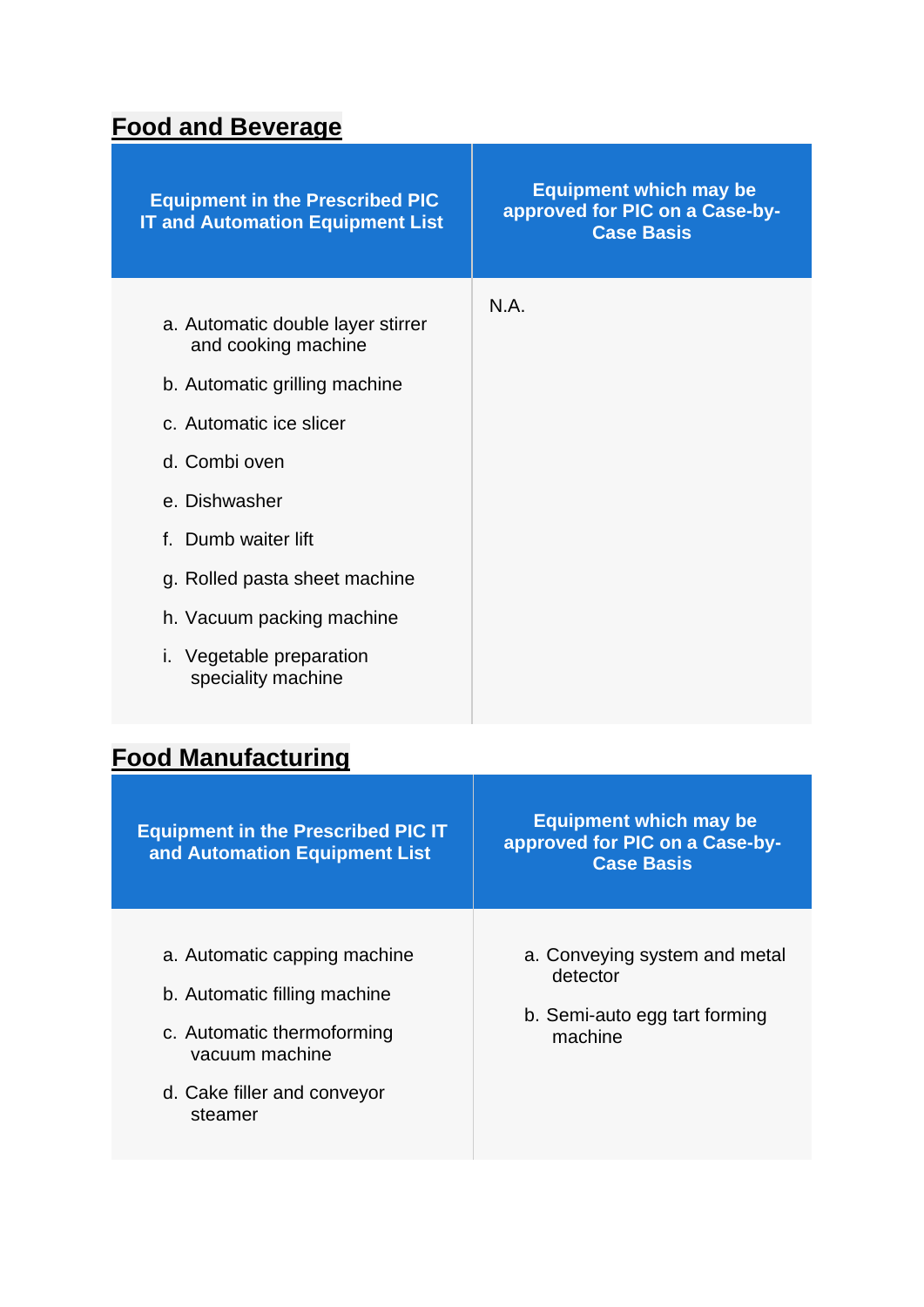### <span id="page-3-0"></span>**Food and Beverage**

| <b>Equipment in the Prescribed PIC</b><br><b>IT and Automation Equipment List</b>                                                                                                                                                                                                                    | <b>Equipment which may be</b><br>approved for PIC on a Case-by-<br><b>Case Basis</b> |
|------------------------------------------------------------------------------------------------------------------------------------------------------------------------------------------------------------------------------------------------------------------------------------------------------|--------------------------------------------------------------------------------------|
| a. Automatic double layer stirrer<br>and cooking machine<br>b. Automatic grilling machine<br>c. Automatic ice slicer<br>d. Combi oven<br>e. Dishwasher<br>f. Dumb waiter lift<br>g. Rolled pasta sheet machine<br>h. Vacuum packing machine<br><i>i.</i> Vegetable preparation<br>speciality machine | N.A.                                                                                 |
|                                                                                                                                                                                                                                                                                                      |                                                                                      |

## <span id="page-3-1"></span>**Food Manufacturing**

| <b>Equipment in the Prescribed PIC IT</b><br>and Automation Equipment List                                                                             | <b>Equipment which may be</b><br>approved for PIC on a Case-by-<br><b>Case Basis</b>  |
|--------------------------------------------------------------------------------------------------------------------------------------------------------|---------------------------------------------------------------------------------------|
| a. Automatic capping machine<br>b. Automatic filling machine<br>c. Automatic thermoforming<br>vacuum machine<br>d. Cake filler and conveyor<br>steamer | a. Conveying system and metal<br>detector<br>b. Semi-auto egg tart forming<br>machine |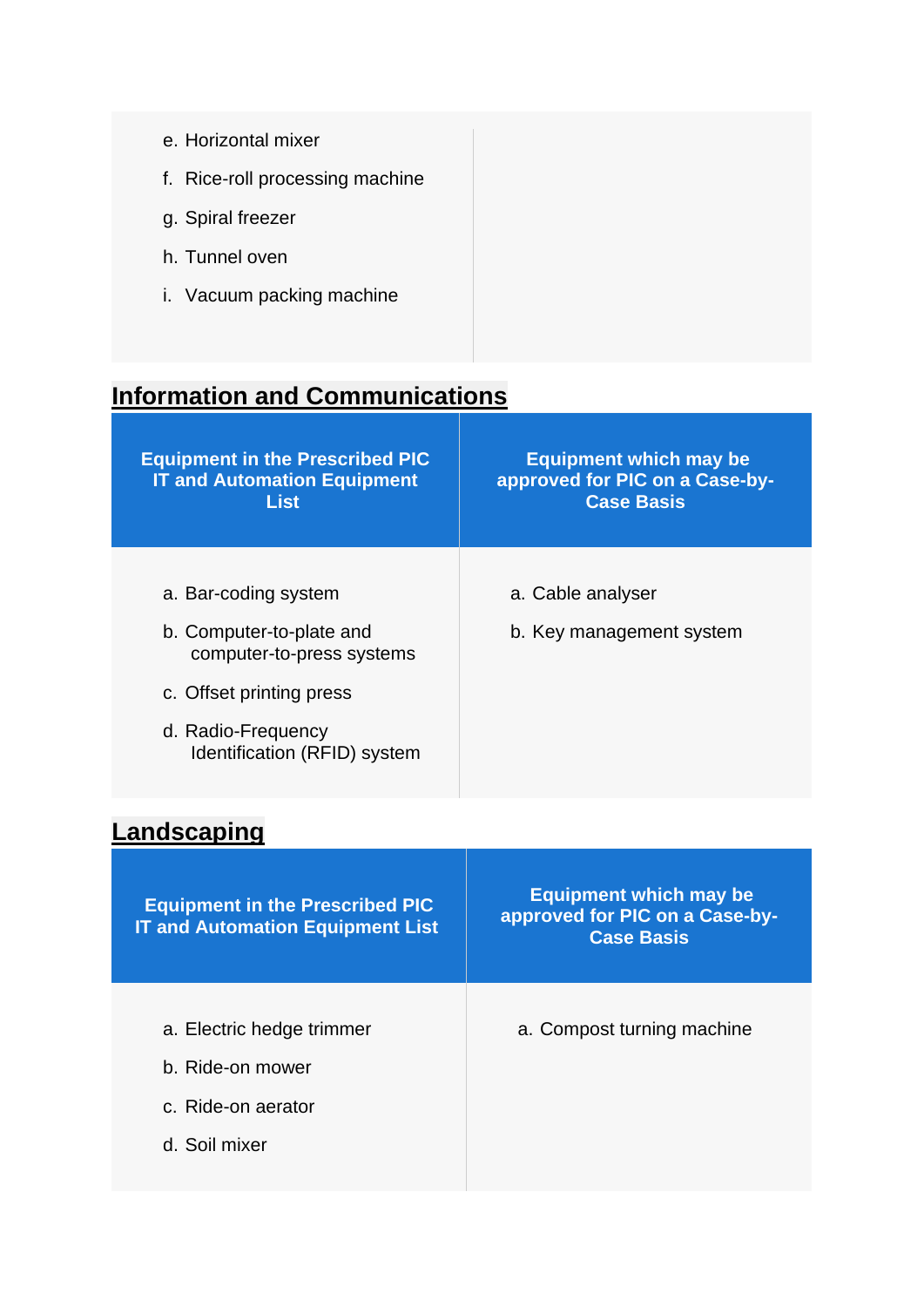| e. Horizontal mixer             |
|---------------------------------|
| f. Rice-roll processing machine |
| g. Spiral freezer               |
| h. Tunnel oven                  |
| i. Vacuum packing machine       |
|                                 |

## <span id="page-4-0"></span>**Information and Communications**

| <b>Equipment in the Prescribed PIC</b><br><b>IT and Automation Equipment</b><br><b>List</b> | <b>Equipment which may be</b><br>approved for PIC on a Case-by-<br><b>Case Basis</b> |
|---------------------------------------------------------------------------------------------|--------------------------------------------------------------------------------------|
|                                                                                             |                                                                                      |
| a. Bar-coding system                                                                        | a. Cable analyser                                                                    |
| b. Computer-to-plate and<br>computer-to-press systems                                       | b. Key management system                                                             |
| c. Offset printing press                                                                    |                                                                                      |
| d. Radio-Frequency<br>Identification (RFID) system                                          |                                                                                      |

# <span id="page-4-1"></span>**Landscaping**

| <b>Equipment in the Prescribed PIC</b><br><b>IT and Automation Equipment List</b> | <b>Equipment which may be</b><br>approved for PIC on a Case-by-<br><b>Case Basis</b> |
|-----------------------------------------------------------------------------------|--------------------------------------------------------------------------------------|
| a. Electric hedge trimmer<br>b. Ride-on mower                                     | a. Compost turning machine                                                           |
| c. Ride-on aerator<br>d. Soil mixer                                               |                                                                                      |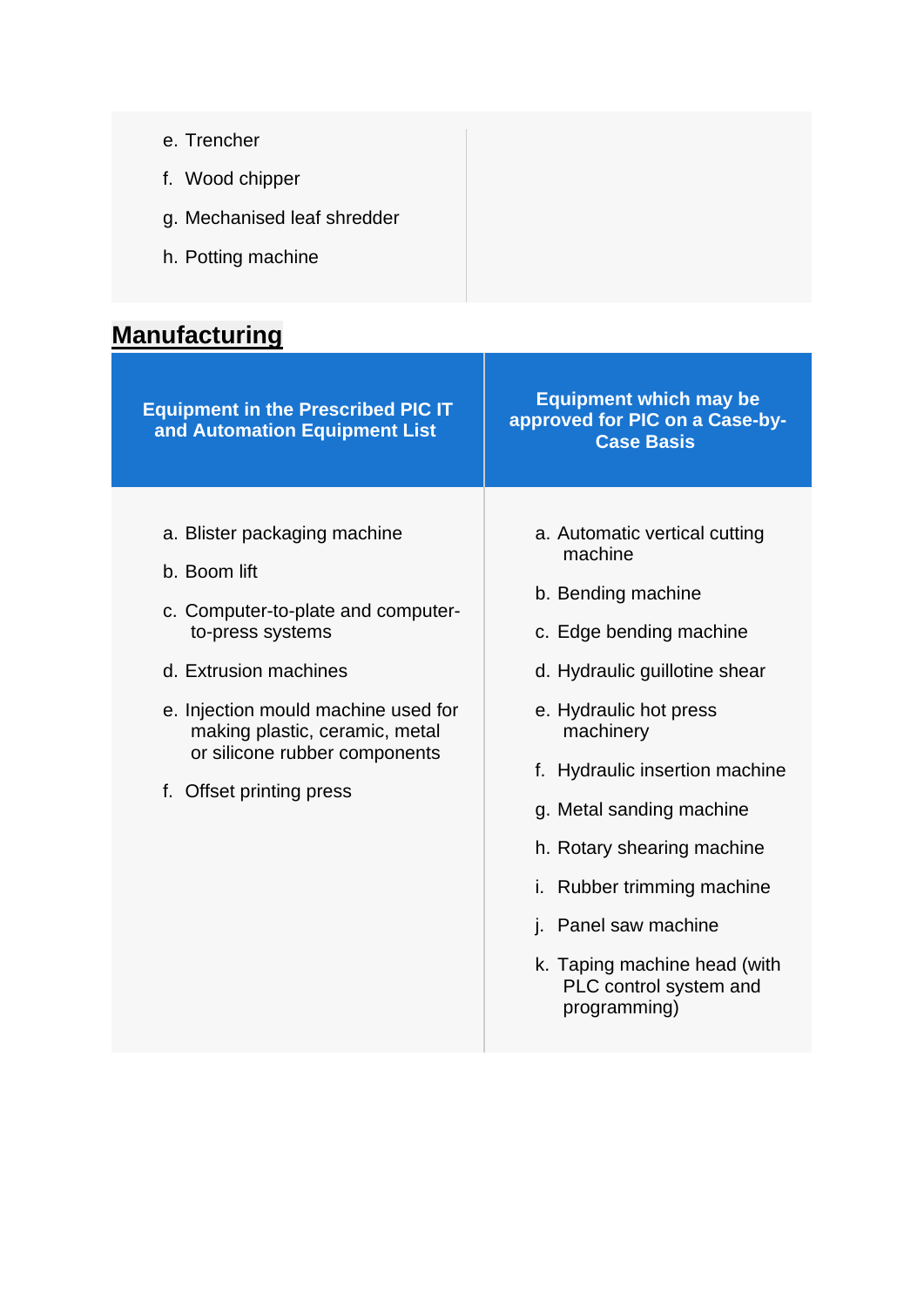| e. Trencher                 |
|-----------------------------|
| f. Wood chipper             |
| g. Mechanised leaf shredder |
| h. Potting machine          |
|                             |

# <span id="page-5-0"></span>**Manufacturing**

| <b>Equipment in the Prescribed PIC IT</b><br>and Automation Equipment List                                                                                                                                                                                            | <b>Equipment which may be</b><br>approved for PIC on a Case-by-<br><b>Case Basis</b>                                                                                                                                                                                                                                                                                                             |
|-----------------------------------------------------------------------------------------------------------------------------------------------------------------------------------------------------------------------------------------------------------------------|--------------------------------------------------------------------------------------------------------------------------------------------------------------------------------------------------------------------------------------------------------------------------------------------------------------------------------------------------------------------------------------------------|
| a. Blister packaging machine<br>b. Boom lift<br>c. Computer-to-plate and computer-<br>to-press systems<br>d. Extrusion machines<br>e. Injection mould machine used for<br>making plastic, ceramic, metal<br>or silicone rubber components<br>f. Offset printing press | a. Automatic vertical cutting<br>machine<br>b. Bending machine<br>c. Edge bending machine<br>d. Hydraulic guillotine shear<br>e. Hydraulic hot press<br>machinery<br>f. Hydraulic insertion machine<br>g. Metal sanding machine<br>h. Rotary shearing machine<br>Rubber trimming machine<br>İ.<br>j. Panel saw machine<br>k. Taping machine head (with<br>PLC control system and<br>programming) |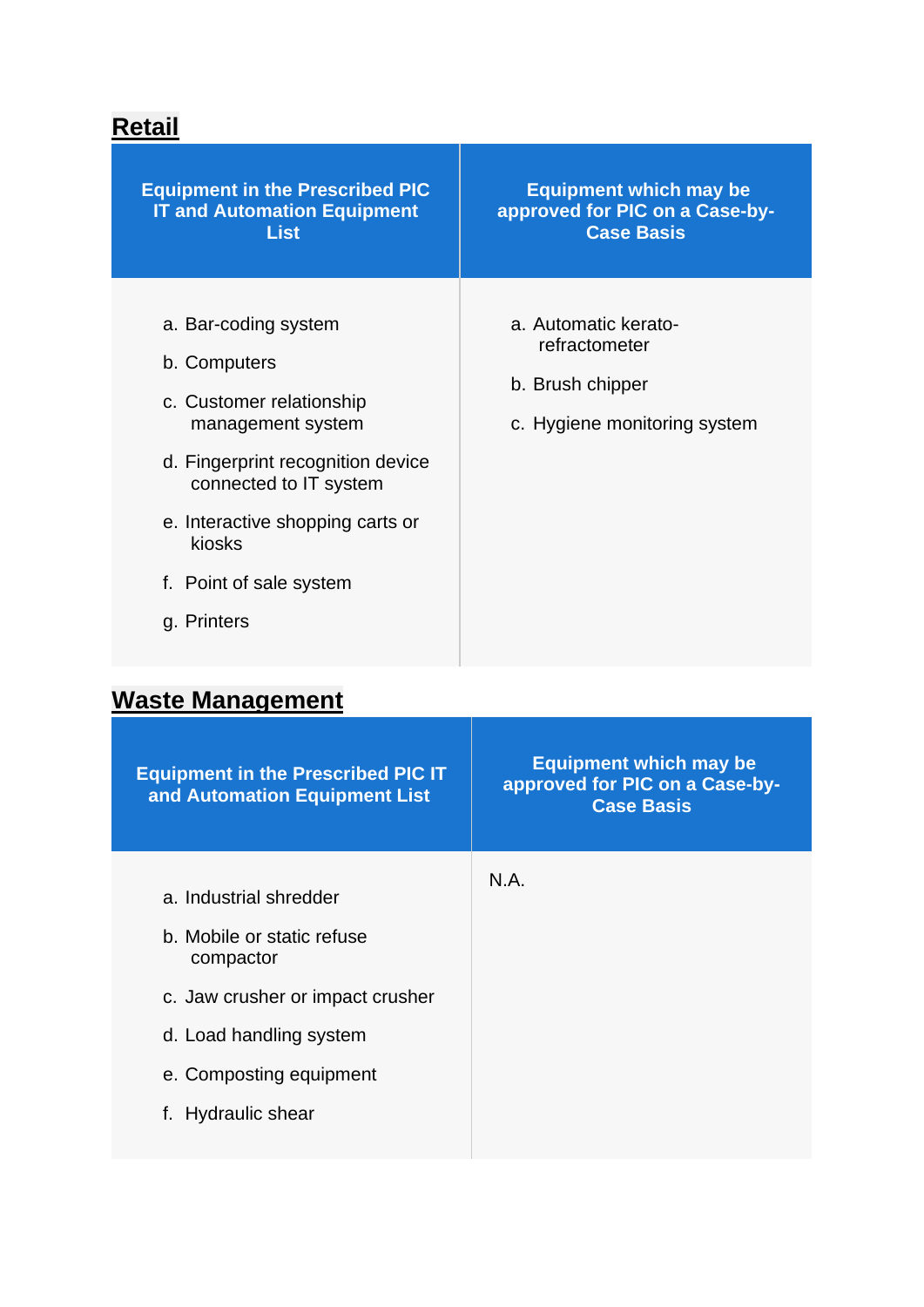## <span id="page-6-0"></span>**Retail**

| <b>Equipment in the Prescribed PIC</b><br><b>IT and Automation Equipment</b><br><b>List</b>                                                                                                                                                  | <b>Equipment which may be</b><br>approved for PIC on a Case-by-<br><b>Case Basis</b>      |
|----------------------------------------------------------------------------------------------------------------------------------------------------------------------------------------------------------------------------------------------|-------------------------------------------------------------------------------------------|
| a. Bar-coding system<br>b. Computers<br>c. Customer relationship<br>management system<br>d. Fingerprint recognition device<br>connected to IT system<br>e. Interactive shopping carts or<br>kiosks<br>f. Point of sale system<br>g. Printers | a. Automatic kerato-<br>refractometer<br>b. Brush chipper<br>c. Hygiene monitoring system |
| Wacto Managamant                                                                                                                                                                                                                             |                                                                                           |

#### <span id="page-6-1"></span>**Waste Management**

| <b>Equipment in the Prescribed PIC IT</b><br>and Automation Equipment List | <b>Equipment which may be</b><br>approved for PIC on a Case-by-<br><b>Case Basis</b> |
|----------------------------------------------------------------------------|--------------------------------------------------------------------------------------|
| a. Industrial shredder                                                     | N.A.                                                                                 |
| b. Mobile or static refuse<br>compactor                                    |                                                                                      |
| c. Jaw crusher or impact crusher                                           |                                                                                      |
| d. Load handling system                                                    |                                                                                      |
| e. Composting equipment                                                    |                                                                                      |
| f. Hydraulic shear                                                         |                                                                                      |
|                                                                            |                                                                                      |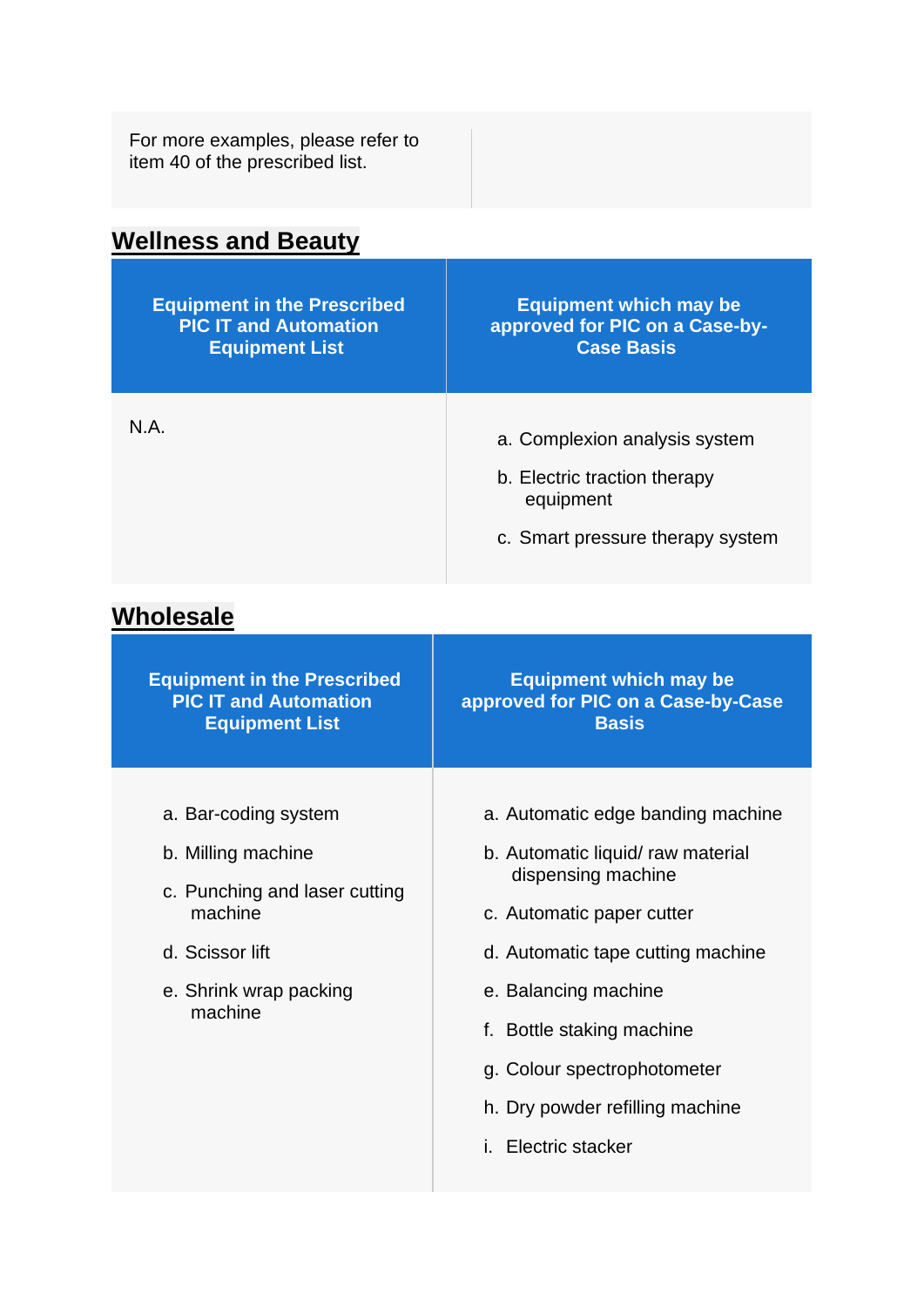<span id="page-7-0"></span>

| For more examples, please refer to<br>item 40 of the prescribed list.                       |                                                                                                                |
|---------------------------------------------------------------------------------------------|----------------------------------------------------------------------------------------------------------------|
| <b>Wellness and Beauty</b>                                                                  |                                                                                                                |
| <b>Equipment in the Prescribed</b><br><b>PIC IT and Automation</b><br><b>Equipment List</b> | <b>Equipment which may be</b><br>approved for PIC on a Case-by-<br><b>Case Basis</b>                           |
| N.A.                                                                                        | a. Complexion analysis system<br>b. Electric traction therapy<br>equipment<br>c. Smart pressure therapy system |
| <b>Wholesale</b>                                                                            |                                                                                                                |
| <b>Equipment in the Prescribed</b><br><b>PIC IT and Automation</b><br><b>Equipment List</b> | <b>Equipment which may be</b><br>approved for PIC on a Case-by-Case<br><b>Basis</b>                            |

- <span id="page-7-1"></span>a. Bar-coding system
- b. Milling machine
- c. Punching and laser cutting machine
- d. Scissor lift
- e. Shrink wrap packing machine
- a. Automatic edge banding machine
- b. Automatic liquid/ raw material dispensing machine
- c. Automatic paper cutter
- d. Automatic tape cutting machine
- e. Balancing machine
- f. Bottle staking machine
- g. Colour spectrophotometer
- h. Dry powder refilling machine
- i. Electric stacker